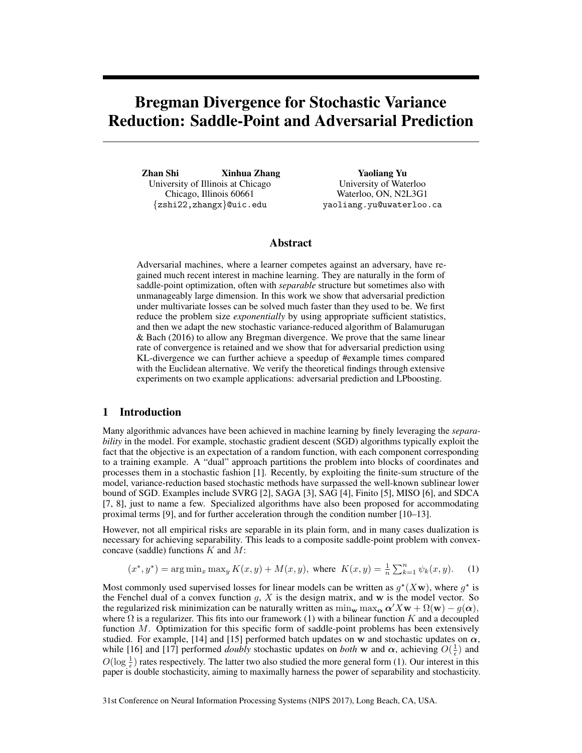# Bregman Divergence for Stochastic Variance Reduction: Saddle-Point and Adversarial Prediction

Zhan Shi Xinhua Zhang University of Illinois at Chicago Chicago, Illinois 60661 {zshi22,zhangx}@uic.edu

Yaoliang Yu University of Waterloo Waterloo, ON, N2L3G1 yaoliang.yu@uwaterloo.ca

### Abstract

Adversarial machines, where a learner competes against an adversary, have regained much recent interest in machine learning. They are naturally in the form of saddle-point optimization, often with *separable* structure but sometimes also with unmanageably large dimension. In this work we show that adversarial prediction under multivariate losses can be solved much faster than they used to be. We first reduce the problem size *exponentially* by using appropriate sufficient statistics, and then we adapt the new stochastic variance-reduced algorithm of Balamurugan & Bach (2016) to allow any Bregman divergence. We prove that the same linear rate of convergence is retained and we show that for adversarial prediction using KL-divergence we can further achieve a speedup of #example times compared with the Euclidean alternative. We verify the theoretical findings through extensive experiments on two example applications: adversarial prediction and LPboosting.

## 1 Introduction

Many algorithmic advances have been achieved in machine learning by finely leveraging the *separability* in the model. For example, stochastic gradient descent (SGD) algorithms typically exploit the fact that the objective is an expectation of a random function, with each component corresponding to a training example. A "dual" approach partitions the problem into blocks of coordinates and processes them in a stochastic fashion [1]. Recently, by exploiting the finite-sum structure of the model, variance-reduction based stochastic methods have surpassed the well-known sublinear lower bound of SGD. Examples include SVRG [2], SAGA [3], SAG [4], Finito [5], MISO [6], and SDCA [7, 8], just to name a few. Specialized algorithms have also been proposed for accommodating proximal terms [9], and for further acceleration through the condition number [10–13].

However, not all empirical risks are separable in its plain form, and in many cases dualization is necessary for achieving separability. This leads to a composite saddle-point problem with convexconcave (saddle) functions K and M:

$$
(x^*, y^*) = \arg\min_{x} \max_{y} K(x, y) + M(x, y), \text{ where } K(x, y) = \frac{1}{n} \sum_{k=1}^{n} \psi_k(x, y). \tag{1}
$$

Most commonly used supervised losses for linear models can be written as  $g^*(X\mathbf{w})$ , where  $g^*$  is the Fenchel dual of a convex function  $g, X$  is the design matrix, and w is the model vector. So the regularized risk minimization can be naturally written as  $\min_{\mathbf{w}} \max_{\mathbf{\alpha}} \alpha' X\mathbf{w} + \Omega(\mathbf{w}) - g(\alpha)$ , where  $\Omega$  is a regularizer. This fits into our framework (1) with a bilinear function K and a decoupled function  $M$ . Optimization for this specific form of saddle-point problems has been extensively studied. For example, [14] and [15] performed batch updates on w and stochastic updates on  $\alpha$ , while [16] and [17] performed *doubly* stochastic updates on *both* w and  $\alpha$ , achieving  $O(\frac{1}{\epsilon})$  and  $O(\log \frac{1}{\epsilon})$  rates respectively. The latter two also studied the more general form (1). Our interest in this paper is double stochasticity, aiming to maximally harness the power of separability and stochasticity.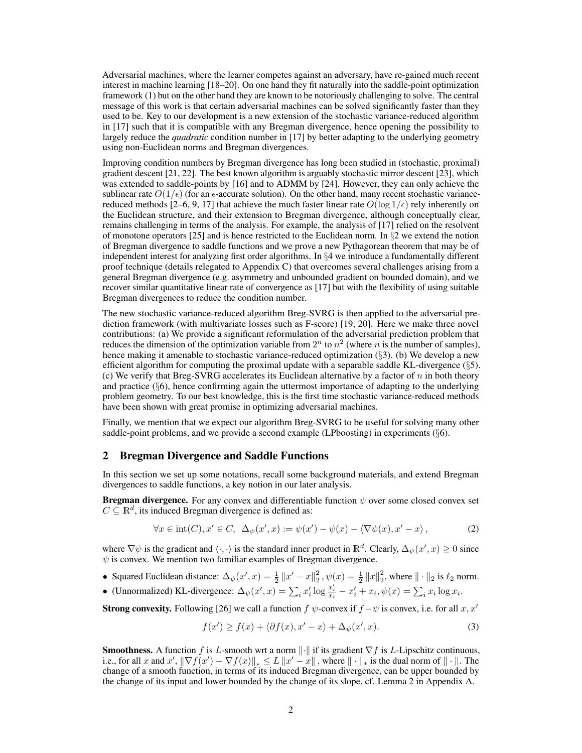Adversarial machines, where the learner competes against an adversary, have re-gained much recent interest in machine learning [18–20]. On one hand they fit naturally into the saddle-point optimization framework (1) but on the other hand they are known to be notoriously challenging to solve. The central message of this work is that certain adversarial machines can be solved significantly faster than they used to be. Key to our development is a new extension of the stochastic variance-reduced algorithm in [17] such that it is compatible with any Bregman divergence, hence opening the possibility to largely reduce the *quadratic* condition number in [17] by better adapting to the underlying geometry using non-Euclidean norms and Bregman divergences.

Improving condition numbers by Bregman divergence has long been studied in (stochastic, proximal) gradient descent [21, 22]. The best known algorithm is arguably stochastic mirror descent [23], which was extended to saddle-points by [16] and to ADMM by [24]. However, they can only achieve the sublinear rate  $O(1/\epsilon)$  (for an  $\epsilon$ -accurate solution). On the other hand, many recent stochastic variancereduced methods [2–6, 9, 17] that achieve the much faster linear rate  $O(\log 1/\epsilon)$  rely inherently on the Euclidean structure, and their extension to Bregman divergence, although conceptually clear, remains challenging in terms of the analysis. For example, the analysis of [17] relied on the resolvent of monotone operators [25] and is hence restricted to the Euclidean norm. In  $\S2$  we extend the notion of Bregman divergence to saddle functions and we prove a new Pythagorean theorem that may be of independent interest for analyzing first order algorithms. In §4 we introduce a fundamentally different proof technique (details relegated to Appendix C) that overcomes several challenges arising from a general Bregman divergence (e.g. asymmetry and unbounded gradient on bounded domain), and we recover similar quantitative linear rate of convergence as [17] but with the flexibility of using suitable Bregman divergences to reduce the condition number.

The new stochastic variance-reduced algorithm Breg-SVRG is then applied to the adversarial prediction framework (with multivariate losses such as F-score) [19, 20]. Here we make three novel contributions: (a) We provide a significant reformulation of the adversarial prediction problem that reduces the dimension of the optimization variable from  $2^n$  to  $n^2$  (where n is the number of samples), hence making it amenable to stochastic variance-reduced optimization (§3). (b) We develop a new efficient algorithm for computing the proximal update with a separable saddle KL-divergence (§5). (c) We verify that Breg-SVRG accelerates its Euclidean alternative by a factor of  $n$  in both theory and practice  $(\S_0)$ , hence confirming again the uttermost importance of adapting to the underlying problem geometry. To our best knowledge, this is the first time stochastic variance-reduced methods have been shown with great promise in optimizing adversarial machines.

Finally, we mention that we expect our algorithm Breg-SVRG to be useful for solving many other saddle-point problems, and we provide a second example (LPboosting) in experiments  $(\S6)$ .

#### 2 Bregman Divergence and Saddle Functions

In this section we set up some notations, recall some background materials, and extend Bregman divergences to saddle functions, a key notion in our later analysis.

**Bregman divergence.** For any convex and differentiable function  $\psi$  over some closed convex set  $C \subseteq \mathbb{R}^d$ , its induced Bregman divergence is defined as:

$$
\forall x \in \text{int}(C), x' \in C, \ \Delta_{\psi}(x', x) := \psi(x') - \psi(x) - \langle \nabla \psi(x), x' - x \rangle, \tag{2}
$$

where  $\nabla \psi$  is the gradient and  $\langle \cdot, \cdot \rangle$  is the standard inner product in  $\mathbb{R}^d$ . Clearly,  $\Delta_{\psi}(x',x) \ge 0$  since  $\psi$  is convex. We mention two familiar examples of Bregman divergence.

- Squared Euclidean distance:  $\Delta_{\psi}(x', x) = \frac{1}{2} ||x' x||_2^2$  $\frac{2}{2}$ ,  $\psi(x) = \frac{1}{2} ||x||_2^2$ , where  $|| \cdot ||_2$  is  $\ell_2$  norm.
- (Unnormalized) KL-divergence:  $\Delta_{\psi}(x', x) = \sum_{i} x'_{i} \log \frac{x'_{i}}{x_{i}} x'_{i} + x_{i}, \psi(x) = \sum_{i} x_{i} \log x_{i}$ .

**Strong convexity.** Following [26] we call a function  $f \psi$ -convex if  $f - \psi$  is convex, i.e. for all x, x'

$$
f(x') \ge f(x) + \langle \partial f(x), x' - x \rangle + \Delta_{\psi}(x', x). \tag{3}
$$

**Smoothness.** A function f is L-smooth wrt a norm  $\|\cdot\|$  if its gradient  $\nabla f$  is L-Lipschitz continuous, i.e., for all x and  $x'$ ,  $\|\nabla f(x') - \nabla f(x)\|_{*} \le L \|x' - x\|$ , where  $\|\cdot\|_{*}$  is the dual norm of  $\|\cdot\|$ . The change of a smooth function, in terms of its induced Bregman divergence, can be upper bounded by the change of its input and lower bounded by the change of its slope, cf. Lemma 2 in Appendix A.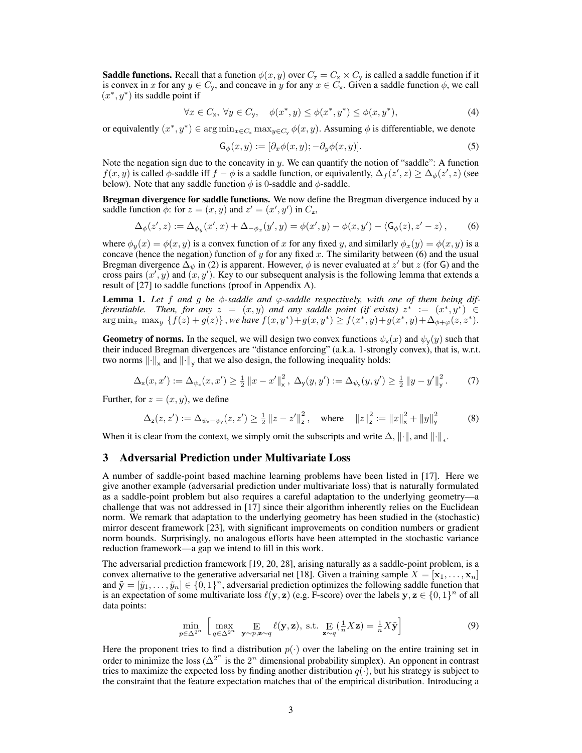**Saddle functions.** Recall that a function  $\phi(x, y)$  over  $C_z = C_x \times C_y$  is called a saddle function if it is convex in x for any  $y \in C_y$ , and concave in y for any  $x \in C_x$ . Given a saddle function  $\phi$ , we call  $(x^*, y^*)$  its saddle point if

$$
\forall x \in C_{\mathsf{x}}, \ \forall y \in C_{\mathsf{y}}, \quad \phi(x^*, y) \le \phi(x^*, y^*) \le \phi(x, y^*), \tag{4}
$$

or equivalently  $(x^*, y^*) \in \arg\min_{x \in C_x} \max_{y \in C_y} \phi(x, y)$ . Assuming  $\phi$  is differentiable, we denote

$$
\mathsf{G}_{\phi}(x,y) := [\partial_x \phi(x,y); -\partial_y \phi(x,y)]. \tag{5}
$$

Note the negation sign due to the concavity in y. We can quantify the notion of "saddle": A function  $f(x, y)$  is called  $\phi$ -saddle iff  $f - \phi$  is a saddle function, or equivalently,  $\Delta_f(z', z) \ge \Delta_\phi(z', z)$  (see below). Note that any saddle function  $\phi$  is 0-saddle and  $\phi$ -saddle.

Bregman divergence for saddle functions. We now define the Bregman divergence induced by a saddle function  $\phi$ : for  $z = (x, y)$  and  $z' = (x', y')$  in  $C_z$ ,

$$
\Delta_{\phi}(z', z) := \Delta_{\phi_y}(x', x) + \Delta_{-\phi_x}(y', y) = \phi(x', y) - \phi(x, y') - \langle G_{\phi}(z), z' - z \rangle,
$$
 (6)

where  $\phi_y(x) = \phi(x, y)$  is a convex function of x for any fixed y, and similarly  $\phi_x(y) = \phi(x, y)$  is a concave (hence the negation) function of y for any fixed x. The similarity between (6) and the usual Bregman divergence  $\bar{\Delta}_{\psi}$  in (2) is apparent. However,  $\phi$  is never evaluated at  $z'$  but  $z$  (for G) and the cross pairs  $(x', y)$  and  $(x, y')$ . Key to our subsequent analysis is the following lemma that extends a result of [27] to saddle functions (proof in Appendix A).

**Lemma 1.** Let f and g be  $\phi$ -saddle and  $\varphi$ -saddle respectively, with one of them being dif*ferentiable.* Then, for any  $z = (x, y)$  and any saddle point (if exists)  $z^* := (x^*, y^*) \in$  $\argmin_x \, \max_y \, \{f(z) + g(z)\}$  , we have  $f(x, y^*) + g(x, y^*) \geq f(x^*, y) + g(x^*, y) + \Delta_{\phi + \varphi}(z, z^*).$ 

Geometry of norms. In the sequel, we will design two convex functions  $\psi_{\mathsf{x}}(x)$  and  $\psi_{\mathsf{y}}(y)$  such that their induced Bregman divergences are "distance enforcing" (a.k.a. 1-strongly convex), that is, w.r.t. two norms  $\left\| \cdot \right\|_{\times}$  and  $\left\| \cdot \right\|_{\text{y}}$  that we also design, the following inequality holds:

$$
\Delta_{\mathsf{x}}(x, x') := \Delta_{\psi_{\mathsf{x}}}(x, x') \ge \frac{1}{2} \|x - x'\|_{\mathsf{x}}^2, \ \Delta_{\mathsf{y}}(y, y') := \Delta_{\psi_{\mathsf{y}}}(y, y') \ge \frac{1}{2} \|y - y'\|_{\mathsf{y}}^2. \tag{7}
$$

Further, for  $z = (x, y)$ , we define

$$
\Delta_z(z, z') := \Delta_{\psi_x - \psi_y}(z, z') \ge \frac{1}{2} \|z - z'\|_z^2, \quad \text{where} \quad \|z\|_z^2 := \|x\|_x^2 + \|y\|_y^2 \tag{8}
$$

When it is clear from the context, we simply omit the subscripts and write  $\Delta$ ,  $\|\cdot\|$ , and  $\|\cdot\|_*$ .

#### 3 Adversarial Prediction under Multivariate Loss

A number of saddle-point based machine learning problems have been listed in [17]. Here we give another example (adversarial prediction under multivariate loss) that is naturally formulated as a saddle-point problem but also requires a careful adaptation to the underlying geometry—a challenge that was not addressed in [17] since their algorithm inherently relies on the Euclidean norm. We remark that adaptation to the underlying geometry has been studied in the (stochastic) mirror descent framework [23], with significant improvements on condition numbers or gradient norm bounds. Surprisingly, no analogous efforts have been attempted in the stochastic variance reduction framework—a gap we intend to fill in this work.

The adversarial prediction framework [19, 20, 28], arising naturally as a saddle-point problem, is a convex alternative to the generative adversarial net [18]. Given a training sample  $X = [\mathbf{x}_1, \dots, \mathbf{x}_n]$ and  $\tilde{\mathbf{y}} = [\tilde{y}_1, \dots, \tilde{y}_n] \in \{0, 1\}^n$ , adversarial prediction optimizes the following saddle function that is an expectation of some multivariate loss  $\ell(y, z)$  (e.g. F-score) over the labels  $y, z \in \{0, 1\}^n$  of all data points:

$$
\min_{p \in \Delta^{2^n}} \left[ \max_{q \in \Delta^{2^n}} \mathop{\mathbb{E}}_{\mathbf{y} \sim p, \mathbf{z} \sim q} \ell(\mathbf{y}, \mathbf{z}), \text{ s.t. } \mathop{\mathbb{E}}_{\mathbf{z} \sim q} \left( \frac{1}{n} X \mathbf{z} \right) = \frac{1}{n} X \tilde{\mathbf{y}} \right]
$$
(9)

Here the proponent tries to find a distribution  $p(\cdot)$  over the labeling on the entire training set in order to minimize the loss ( $\Delta^{2^n}$  is the  $2^n$  dimensional probability simplex). An opponent in contrast tries to maximize the expected loss by finding another distribution  $q(\cdot)$ , but his strategy is subject to the constraint that the feature expectation matches that of the empirical distribution. Introducing a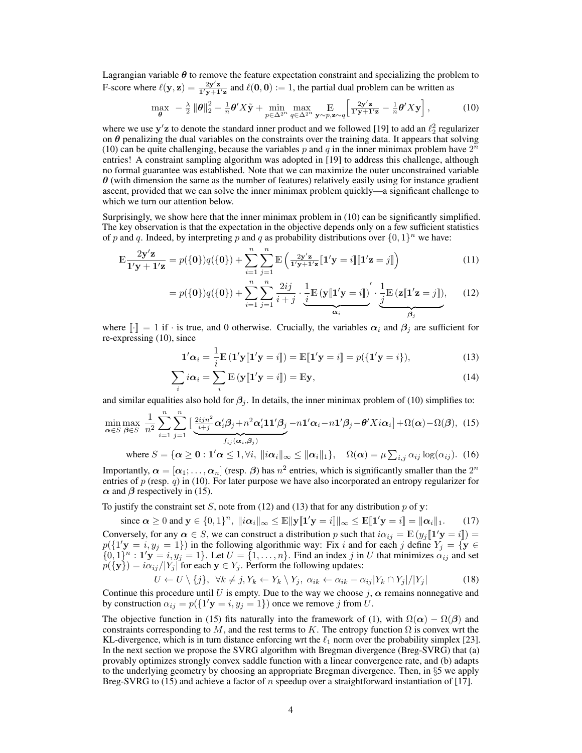Lagrangian variable  $\theta$  to remove the feature expectation constraint and specializing the problem to F-score where  $\ell(y, z) = \frac{2y'z}{1'y + 1'z}$  and  $\ell(0, 0) := 1$ , the partial dual problem can be written as

$$
\max_{\theta} \ -\ \frac{\lambda}{2} \left\| \theta \right\|_{2}^{2} + \frac{1}{n} \theta' X \tilde{\mathbf{y}} + \min_{p \in \Delta^{2^n}} \max_{q \in \Delta^{2^n}} \mathop{\mathbb{E}}_{\mathbf{y} \sim p, \mathbf{z} \sim q} \left[ \frac{2\mathbf{y}' \mathbf{z}}{\mathbf{1}' \mathbf{y} + \mathbf{1}' \mathbf{z}} - \frac{1}{n} \theta' X \mathbf{y} \right],\tag{10}
$$

where we use  $y'z$  to denote the standard inner product and we followed [19] to add an  $\ell_2^2$  regularizer on  $\theta$  penalizing the dual variables on the constraints over the training data. It appears that solving (10) can be quite challenging, because the variables p and q in the inner minimax problem have  $2^n$ entries! A constraint sampling algorithm was adopted in [19] to address this challenge, although no formal guarantee was established. Note that we can maximize the outer unconstrained variable  $\theta$  (with dimension the same as the number of features) relatively easily using for instance gradient ascent, provided that we can solve the inner minimax problem quickly—a significant challenge to which we turn our attention below.

Surprisingly, we show here that the inner minimax problem in (10) can be significantly simplified. The key observation is that the expectation in the objective depends only on a few sufficient statistics of p and q. Indeed, by interpreting p and q as probability distributions over  $\{0, 1\}^n$  we have:

$$
\mathbb{E}\frac{2\mathbf{y}'\mathbf{z}}{\mathbf{1}'\mathbf{y}+\mathbf{1}'\mathbf{z}} = p(\{\mathbf{0}\})q(\{\mathbf{0}\}) + \sum_{i=1}^{n} \sum_{j=1}^{n} \mathbb{E}\left(\frac{2\mathbf{y}'\mathbf{z}}{\mathbf{1}'\mathbf{y}+\mathbf{1}'\mathbf{z}}[\mathbf{1}'\mathbf{y}=i]\mathbf{1}'\mathbf{z}=j]\right)
$$
(11)

$$
= p(\{0\})q(\{0\}) + \sum_{i=1}^{n} \sum_{j=1}^{n} \frac{2ij}{i+j} \cdot \underbrace{\frac{1}{i} \mathbb{E}(\mathbf{y}[\mathbf{1}'\mathbf{y} = i])}_{\alpha_i} \cdot \underbrace{\frac{1}{j} \mathbb{E}(\mathbf{z}[\mathbf{1}'\mathbf{z} = j]),}_{\beta_j}
$$
(12)

where  $[\cdot] = 1$  if  $\cdot$  is true, and 0 otherwise. Crucially, the variables  $\alpha_i$  and  $\beta_j$  are sufficient for re-expressing (10), since

$$
\mathbf{1}'\alpha_i = \frac{1}{i}\mathbb{E}\left(\mathbf{1}'\mathbf{y}\|\mathbf{1}'\mathbf{y} = i\right) = \mathbb{E}\left[\mathbf{1}'\mathbf{y} = i\right] = p(\{\mathbf{1}'\mathbf{y} = i\}),\tag{13}
$$

$$
\sum_{i} i \alpha_{i} = \sum_{i} \mathbb{E} \left( \mathbf{y} \left[ \mathbf{1}^{\prime} \mathbf{y} = i \right] \right) = \mathbb{E} \mathbf{y},\tag{14}
$$

and similar equalities also hold for  $\beta_i$ . In details, the inner minimax problem of (10) simplifies to:

$$
\min_{\alpha \in S} \max_{\beta \in S} \frac{1}{n^2} \sum_{i=1}^n \sum_{j=1}^n \left[ \frac{2ijn^2}{i+j} \alpha'_i \beta_j + n^2 \alpha'_i 11' \beta_j - n1' \alpha_i - n1' \beta_j - \theta' X i \alpha_i \right] + \Omega(\alpha) - \Omega(\beta), \tag{15}
$$

where  $S = {\alpha \geq 0 : 1' \alpha \leq 1, \forall i, ||i\alpha_i||_{\infty} \leq ||\alpha_i||_1}, \quad \Omega(\alpha) = \mu \sum_{i,j} \alpha_{ij} \log(\alpha_{ij}).$  (16)

Importantly,  $\alpha = [\alpha_1; \dots, \alpha_n]$  (resp.  $\beta$ ) has  $n^2$  entries, which is significantly smaller than the  $2^n$ entries of  $p$  (resp.  $q$ ) in (10). For later purpose we have also incorporated an entropy regularizer for  $\alpha$  and  $\beta$  respectively in (15).

To justify the constraint set S, note from (12) and (13) that for any distribution  $p$  of y:

since  $\alpha \geq 0$  and  $\mathbf{y} \in \{0,1\}^n$ ,  $\|\iota \alpha_i\|_{\infty} \leq \mathbb{E} \|\mathbf{y}[\mathbf{1}'\mathbf{y} = i] \|_{\infty} \leq \mathbb{E} [\mathbf{1}'\mathbf{y} = i] = \|\alpha_i\|_1$ . (17) Conversely, for any  $\alpha \in S$ , we can construct a distribution p such that  $i\alpha_{ij} = \mathbb{E}(y_j[\mathbf{1}'\mathbf{y} = i])$  $p({1}'\mathbf{y} = i, y_j = 1)$  in the following algorithmic way: Fix i and for each j define  $Y_j = \{ \mathbf{y} \in \mathbb{R} \}$  $\{0,1\}^n : \mathbf{1}'\mathbf{y} = i, y_j = 1\}$ . Let  $U = \{1, \ldots, n\}$ . Find an index j in U that minimizes  $\alpha_{ij}$  and set  $p({\bf{y}}) = i\alpha_{ij}/|Y_j|$  for each  ${\bf y} \in Y_j$ . Perform the following updates:

$$
U \leftarrow U \setminus \{j\}, \ \forall k \neq j, Y_k \leftarrow Y_k \setminus Y_j, \ \alpha_{ik} \leftarrow \alpha_{ik} - \alpha_{ij} |Y_k \cap Y_j| / |Y_j| \tag{18}
$$

Continue this procedure until U is empty. Due to the way we choose  $j$ ,  $\alpha$  remains nonnegative and by construction  $\alpha_{ij} = p(\lbrace 1'y = i, y_j = 1 \rbrace)$  once we remove j from U.

The objective function in (15) fits naturally into the framework of (1), with  $\Omega(\alpha) - \Omega(\beta)$  and constraints corresponding to M, and the rest terms to K. The entropy function  $\Omega$  is convex wrt the KL-divergence, which is in turn distance enforcing wrt the  $\ell_1$  norm over the probability simplex [23]. In the next section we propose the SVRG algorithm with Bregman divergence (Breg-SVRG) that (a) provably optimizes strongly convex saddle function with a linear convergence rate, and (b) adapts to the underlying geometry by choosing an appropriate Bregman divergence. Then, in §5 we apply Breg-SVRG to (15) and achieve a factor of n speedup over a straightforward instantiation of [17].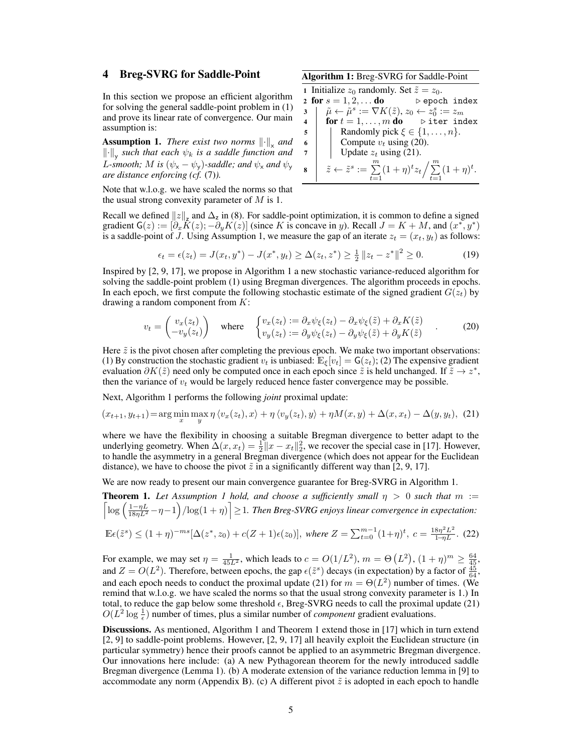In this section we propose an efficient algorithm for solving the general saddle-point problem in (1) and prove its linear rate of convergence. Our main assumption is:

**Assumption 1.** There exist two norms  $\left\| \cdot \right\|_{\mathbf{x}}$  and  $\left\Vert \cdot\right\Vert_{\mathsf{y}}$  such that each  $\psi_{k}$  is a saddle function and *L*-smooth; *M* is  $(\psi_x - \psi_y)$ -saddle; and  $\psi_x$  and  $\psi_y$ *are distance enforcing (cf.* (7)*).*

Note that w.l.o.g. we have scaled the norms so that the usual strong convexity parameter of  $M$  is 1.

Recall we defined  $||z||_z$  and  $\Delta_z$  in (8). For saddle-point optimization, it is common to define a signed gradient  $G(z) := [\partial_x \hat{K}(z); -\partial_y K(z)]$  (since K is concave in y). Recall  $J = K + M$ , and  $(x^*, y^*)$ is a saddle-point of J. Using Assumption 1, we measure the gap of an iterate  $z_t = (x_t, y_t)$  as follows:

$$
\epsilon_t = \epsilon(z_t) = J(x_t, y^*) - J(x^*, y_t) \ge \Delta(z_t, z^*) \ge \frac{1}{2} \|z_t - z^*\|^2 \ge 0.
$$
 (19)

Inspired by [2, 9, 17], we propose in Algorithm 1 a new stochastic variance-reduced algorithm for solving the saddle-point problem (1) using Bregman divergences. The algorithm proceeds in epochs. In each epoch, we first compute the following stochastic estimate of the signed gradient  $G(z_t)$  by drawing a random component from  $K$ :

$$
v_t = \begin{pmatrix} v_x(z_t) \\ -v_y(z_t) \end{pmatrix} \quad \text{where} \quad \begin{cases} v_x(z_t) := \partial_x \psi_{\xi}(z_t) - \partial_x \psi_{\xi}(\tilde{z}) + \partial_x K(\tilde{z}) \\ v_y(z_t) := \partial_y \psi_{\xi}(z_t) - \partial_y \psi_{\xi}(\tilde{z}) + \partial_y K(\tilde{z}) \end{cases} \tag{20}
$$

Here  $\tilde{z}$  is the pivot chosen after completing the previous epoch. We make two important observations: (1) By construction the stochastic gradient  $v_t$  is unbiased:  $\mathbb{E}_{\xi}[v_t] = G(z_t);$  (2) The expensive gradient evaluation  $\partial K(\tilde{z})$  need only be computed once in each epoch since  $\tilde{z}$  is held unchanged. If  $\tilde{z} \to z^*$ , then the variance of  $v_t$  would be largely reduced hence faster convergence may be possible.

Next, Algorithm 1 performs the following *joint* proximal update:

$$
(x_{t+1}, y_{t+1}) = \arg\min_{x} \max_{y} \eta \langle v_x(z_t), x \rangle + \eta \langle v_y(z_t), y \rangle + \eta M(x, y) + \Delta(x, x_t) - \Delta(y, y_t), \tag{21}
$$

where we have the flexibility in choosing a suitable Bregman divergence to better adapt to the underlying geometry. When  $\Delta(x, x_t) = \frac{1}{2} ||x - x_t||_2^2$ , we recover the special case in [17]. However, to handle the asymmetry in a general Bregman divergence (which does not appear for the Euclidean distance), we have to choose the pivot  $\tilde{z}$  in a significantly different way than [2, 9, 17].

We are now ready to present our main convergence guarantee for Breg-SVRG in Algorithm 1.

**Theorem 1.** Let Assumption 1 hold, and choose a sufficiently small  $\eta > 0$  such that  $m :=$  $\left\lceil \log \left( \frac{1-\eta L}{18\eta L^2} - \eta - 1 \right) / \log(1+\eta) \right\rceil \geq 1$ . Then Breg-SVRG enjoys linear convergence in expectation:

$$
\mathbb{E}\epsilon(\tilde{z}^s) \le (1+\eta)^{-ms} [\Delta(z^*, z_0) + c(Z+1)\epsilon(z_0)], \text{ where } Z = \sum_{t=0}^{m-1} (1+\eta)^t, \ c = \frac{18\eta^2 L^2}{1-\eta L}. \tag{22}
$$

For example, we may set  $\eta = \frac{1}{45L^2}$ , which leads to  $c = O(1/L^2)$ ,  $m = \Theta(L^2)$ ,  $(1 + \eta)^m \ge \frac{64}{45}$ , and  $Z = O(L^2)$ . Therefore, between epochs, the gap  $\epsilon(\tilde{z}^s)$  decays (in expectation) by a factor of  $\frac{45}{64}$ , and each epoch needs to conduct the proximal update (21) for  $m = \Theta(L^2)$  number of times. (We remind that w.l.o.g. we have scaled the norms so that the usual strong convexity parameter is 1.) In total, to reduce the gap below some threshold  $\epsilon$ , Breg-SVRG needs to call the proximal update (21)  $O(L^2 \log \frac{1}{\epsilon})$  number of times, plus a similar number of *component* gradient evaluations.

Discussions. As mentioned, Algorithm 1 and Theorem 1 extend those in [17] which in turn extend [2, 9] to saddle-point problems. However, [2, 9, 17] all heavily exploit the Euclidean structure (in particular symmetry) hence their proofs cannot be applied to an asymmetric Bregman divergence. Our innovations here include: (a) A new Pythagorean theorem for the newly introduced saddle Bregman divergence (Lemma 1). (b) A moderate extension of the variance reduction lemma in [9] to accommodate any norm (Appendix B). (c) A different pivot  $\tilde{z}$  is adopted in each epoch to handle

5

2 for  $s = 1, 2, \ldots$  do  $\longrightarrow$  epoch index  $\mathbf{3} \quad | \quad \tilde{\mu} \leftarrow \tilde{\mu}^s := \nabla K(\tilde{z}), z_0 \leftarrow z_0^s := z_m$ 4 for  $t = 1, \ldots, m$  do  $\triangleright$  iter index 5 Randomly pick  $\xi \in \{1, ..., n\}$ .<br>
Compute  $v_t$  using (20).

 $\sum_{t=1}^{n} (1 + \eta)^t$ .

1 Initialize  $z_0$  randomly. Set  $\tilde{z} = z_0$ .

6 Compute  $v_t$  using (20).<br>7 Update  $z_t$  using (21). | Update  $z_t$  using (21). 8  $\bar{z} \leftarrow \tilde{z}^s := \sum_{t=1}^m (1+\eta)^t z_t / \sum_{t=1}^m$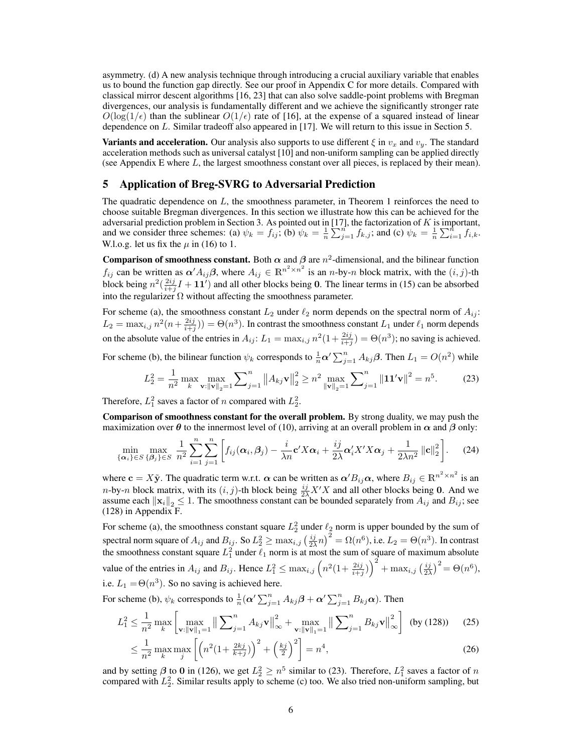asymmetry. (d) A new analysis technique through introducing a crucial auxiliary variable that enables us to bound the function gap directly. See our proof in Appendix C for more details. Compared with classical mirror descent algorithms [16, 23] that can also solve saddle-point problems with Bregman divergences, our analysis is fundamentally different and we achieve the significantly stronger rate  $O(\log(1/\epsilon))$  than the sublinear  $O(1/\epsilon)$  rate of [16], at the expense of a squared instead of linear dependence on L. Similar tradeoff also appeared in [17]. We will return to this issue in Section 5.

**Variants and acceleration.** Our analysis also supports to use different  $\xi$  in  $v_x$  and  $v_y$ . The standard acceleration methods such as universal catalyst [10] and non-uniform sampling can be applied directly (see Appendix E where L, the largest smoothness constant over all pieces, is replaced by their mean).

#### 5 Application of Breg-SVRG to Adversarial Prediction

The quadratic dependence on  $L$ , the smoothness parameter, in Theorem 1 reinforces the need to choose suitable Bregman divergences. In this section we illustrate how this can be achieved for the adversarial prediction problem in Section 3. As pointed out in [17], the factorization of  $K$  is important, and we consider three schemes: (a)  $\psi_k = f_{ij}$ ; (b)  $\psi_k = \frac{1}{n} \sum_{j=1}^{n'} f_{k,j}$ ; and (c)  $\psi_k = \frac{1}{n} \sum_{i=1}^{n} f_{i,k}$ . W.l.o.g. let us fix the  $\mu$  in (16) to 1.

**Comparison of smoothness constant.** Both  $\alpha$  and  $\beta$  are  $n^2$ -dimensional, and the bilinear function  $f_{ij}$  can be written as  $\alpha' A_{ij} \beta$ , where  $A_{ij} \in \mathbb{R}^{n^2 \times n^2}$  is an n-by-n block matrix, with the  $(i, j)$ -th block being  $n^2(\frac{2ij}{i+j}I + 11')$  and all other blocks being 0. The linear terms in (15) can be absorbed into the regularizer  $\Omega$  without affecting the smoothness parameter.

For scheme (a), the smoothness constant  $L_2$  under  $\ell_2$  norm depends on the spectral norm of  $A_{ij}$ :  $L_2 = \max_{i,j} n^2(n + \frac{2ij}{i+j})) = \Theta(n^3)$ . In contrast the smoothness constant  $L_1$  under  $\ell_1$  norm depends on the absolute value of the entries in  $A_{ij}$ :  $L_1 = \max_{i,j} n^2(1 + \frac{2ij}{i+j}) = \Theta(n^3)$ ; no saving is achieved.

For scheme (b), the bilinear function  $\psi_k$  corresponds to  $\frac{1}{n} \alpha' \sum_{j=1}^n A_{kj} \beta$ . Then  $L_1 = O(n^2)$  while

$$
L_2^2 = \frac{1}{n^2} \max_{k} \max_{\mathbf{v}: \|\mathbf{v}\|_2 = 1} \sum_{j=1}^n \|A_{kj}\mathbf{v}\|_2^2 \ge n^2 \max_{\|\mathbf{v}\|_2 = 1} \sum_{j=1}^n \|1\mathbf{1}'\mathbf{v}\|^2 = n^5. \tag{23}
$$

Therefore,  $L_1^2$  saves a factor of n compared with  $L_2^2$ .

Comparison of smoothness constant for the overall problem. By strong duality, we may push the maximization over  $\theta$  to the innermost level of (10), arriving at an overall problem in  $\alpha$  and  $\beta$  only:

$$
\min_{\{\boldsymbol{\alpha}_i\}\in S} \max_{\{\boldsymbol{\beta}_j\}\in S} \frac{1}{n^2} \sum_{i=1}^n \sum_{j=1}^n \left[ f_{ij}(\boldsymbol{\alpha}_i, \boldsymbol{\beta}_j) - \frac{i}{\lambda n} \mathbf{c}' X \boldsymbol{\alpha}_i + \frac{ij}{2\lambda} \boldsymbol{\alpha}_i' X' X \boldsymbol{\alpha}_j + \frac{1}{2\lambda n^2} ||\mathbf{c}||_2^2 \right].
$$
 (24)

where  $\mathbf{c} = X\tilde{\mathbf{y}}$ . The quadratic term w.r.t.  $\boldsymbol{\alpha}$  can be written as  $\boldsymbol{\alpha}'B_{ij}\boldsymbol{\alpha}$ , where  $B_{ij} \in \mathbb{R}^{n^2 \times n^2}$  is an n-by-n block matrix, with its  $(i, j)$ -th block being  $\frac{ij}{2\lambda} X'X$  and all other blocks being 0. And we assume each  $\|\mathbf{x}_i\|_2 \leq 1$ . The smoothness constant can be bounded separately from  $A_{ij}$  and  $B_{ij}$ ; see (128) in Appendix F.

For scheme (a), the smoothness constant square  $L_2^2$  under  $\ell_2$  norm is upper bounded by the sum of spectral norm square of  $A_{ij}$  and  $B_{ij}$ . So  $L_2^2 \ge \max_{i,j} (\frac{ij}{2\lambda}n)^2 = \Omega(n^6)$ , i.e.  $L_2 = \Theta(n^3)$ . In contrast the smoothness constant square  $L_1^2$  under  $\ell_1$  norm is at most the sum of square of maximum absolute value of the entries in  $A_{ij}$  and  $B_{ij}$ . Hence  $L_1^2 \le \max_{i,j} (n^2(1+\frac{2ij}{i+j}))^2 + \max_{i,j} (\frac{ij}{2\lambda})^2 = \Theta(n^6)$ , i.e.  $L_1 = \Theta(n^3)$ . So no saving is achieved here.

For scheme (b),  $\psi_k$  corresponds to  $\frac{1}{n}(\alpha' \sum_{j=1}^n A_{kj}\beta + \alpha' \sum_{j=1}^n B_{kj}\alpha)$ . Then

$$
L_1^2 \le \frac{1}{n^2} \max_{k} \left[ \max_{\mathbf{v}: \|\mathbf{v}\|_1 = 1} \left\| \sum_{j=1}^n A_{kj} \mathbf{v} \right\|_{\infty}^2 + \max_{\mathbf{v}: \|\mathbf{v}\|_1 = 1} \left\| \sum_{j=1}^n B_{kj} \mathbf{v} \right\|_{\infty}^2 \right] \text{ (by (128))} \tag{25}
$$

$$
\leq \frac{1}{n^2} \max_{k} \max_{j} \left[ \left( n^2 \left( 1 + \frac{2kj}{k+j} \right) \right)^2 + \left( \frac{kj}{2} \right)^2 \right] = n^4,
$$
\n(26)

and by setting  $\beta$  to 0 in (126), we get  $L_2^2 \ge n^5$  similar to (23). Therefore,  $L_1^2$  saves a factor of n compared with  $L_2^2$ . Similar results apply to scheme (c) too. We also tried non-uniform sampling, but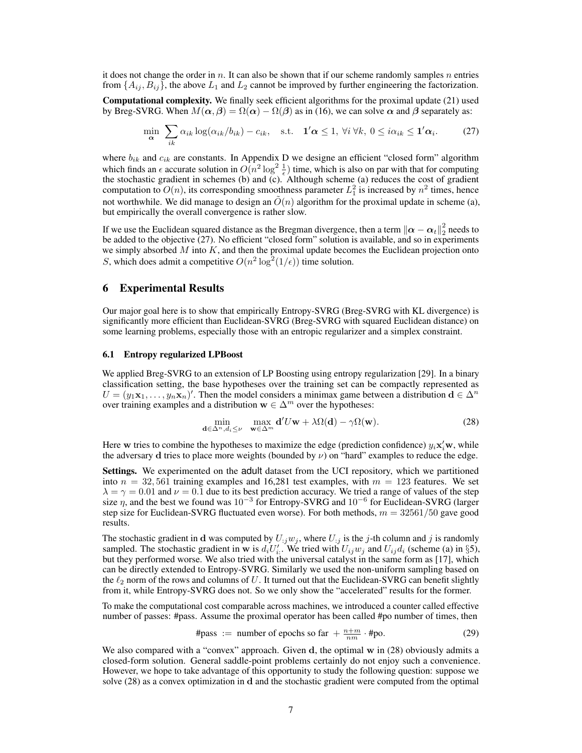it does not change the order in n. It can also be shown that if our scheme randomly samples n entries from  $\{A_{ij}, B_{ij}\}$ , the above  $L_1$  and  $L_2$  cannot be improved by further engineering the factorization.

Computational complexity. We finally seek efficient algorithms for the proximal update (21) used by Breg-SVRG. When  $M(\alpha, \beta) = \Omega(\alpha) - \Omega(\beta)$  as in (16), we can solve  $\alpha$  and  $\beta$  separately as:

$$
\min_{\alpha} \sum_{ik} \alpha_{ik} \log(\alpha_{ik}/b_{ik}) - c_{ik}, \quad \text{s.t.} \quad \mathbf{1}'\alpha \leq 1, \ \forall i \ \forall k, \ 0 \leq i\alpha_{ik} \leq \mathbf{1}'\alpha_{i}.
$$
 (27)

where  $b_{ik}$  and  $c_{ik}$  are constants. In Appendix D we designe an efficient "closed form" algorithm which finds an  $\epsilon$  accurate solution in  $O(n^2 \log^2 \frac{1}{\epsilon})$  time, which is also on par with that for computing the stochastic gradient in schemes (b) and (c). Although scheme (a) reduces the cost of gradient computation to  $O(n)$ , its corresponding smoothness parameter  $L_1^2$  is increased by  $n^2$  times, hence not worthwhile. We did manage to design an  $\tilde{O}(n)$  algorithm for the proximal update in scheme (a), but empirically the overall convergence is rather slow.

If we use the Euclidean squared distance as the Bregman divergence, then a term  $\|\alpha-\alpha_t\|_2^2$  needs to be added to the objective (27). No efficient "closed form" solution is available, and so in experiments we simply absorbed  $M$  into  $K$ , and then the proximal update becomes the Euclidean projection onto S, which does admit a competitive  $O(n^2 \log^2(1/\epsilon))$  time solution.

#### 6 Experimental Results

Our major goal here is to show that empirically Entropy-SVRG (Breg-SVRG with KL divergence) is significantly more efficient than Euclidean-SVRG (Breg-SVRG with squared Euclidean distance) on some learning problems, especially those with an entropic regularizer and a simplex constraint.

#### 6.1 Entropy regularized LPBoost

We applied Breg-SVRG to an extension of LP Boosting using entropy regularization [29]. In a binary classification setting, the base hypotheses over the training set can be compactly represented as  $U = (y_1\mathbf{x}_1,\dots,y_n\mathbf{x}_n)'$ . Then the model considers a minimax game between a distribution  $\mathbf{d} \in \Delta^n$ over training examples and a distribution  $\mathbf{w} \in \Delta^m$  over the hypotheses:

$$
\min_{\mathbf{d}\in\Delta^{n}, d_{i}\leq\nu} \quad \max_{\mathbf{w}\in\Delta^{m}} \mathbf{d}' U\mathbf{w} + \lambda \Omega(\mathbf{d}) - \gamma \Omega(\mathbf{w}).
$$
\n(28)

Here w tries to combine the hypotheses to maximize the edge (prediction confidence)  $y_i\mathbf{x}'_i\mathbf{w}$ , while the adversary d tries to place more weights (bounded by  $\nu$ ) on "hard" examples to reduce the edge.

Settings. We experimented on the adult dataset from the UCI repository, which we partitioned into  $n = 32,561$  training examples and 16,281 test examples, with  $m = 123$  features. We set  $\lambda = \gamma = 0.01$  and  $\nu = 0.1$  due to its best prediction accuracy. We tried a range of values of the step size  $\eta$ , and the best we found was  $10^{-3}$  for Entropy-SVRG and  $10^{-6}$  for Euclidean-SVRG (larger step size for Euclidean-SVRG fluctuated even worse). For both methods,  $m = 32561/50$  gave good results.

The stochastic gradient in d was computed by  $U_{ij}w_j$ , where  $U_{ij}$  is the j-th column and j is randomly sampled. The stochastic gradient in w is  $d_i U'_{i}$ . We tried with  $U_{ij} w_j$  and  $U_{ij} d_i$  (scheme (a) in §5), but they performed worse. We also tried with the universal catalyst in the same form as [17], which can be directly extended to Entropy-SVRG. Similarly we used the non-uniform sampling based on the  $\ell_2$  norm of the rows and columns of U. It turned out that the Euclidean-SVRG can benefit slightly from it, while Entropy-SVRG does not. So we only show the "accelerated" results for the former.

To make the computational cost comparable across machines, we introduced a counter called effective number of passes: #pass. Assume the proximal operator has been called #po number of times, then

$$
\#pass := number of epochs so far + \frac{n+m}{nm} \cdot \#po. \tag{29}
$$

We also compared with a "convex" approach. Given  $d$ , the optimal  $w$  in (28) obviously admits a closed-form solution. General saddle-point problems certainly do not enjoy such a convenience. However, we hope to take advantage of this opportunity to study the following question: suppose we solve (28) as a convex optimization in d and the stochastic gradient were computed from the optimal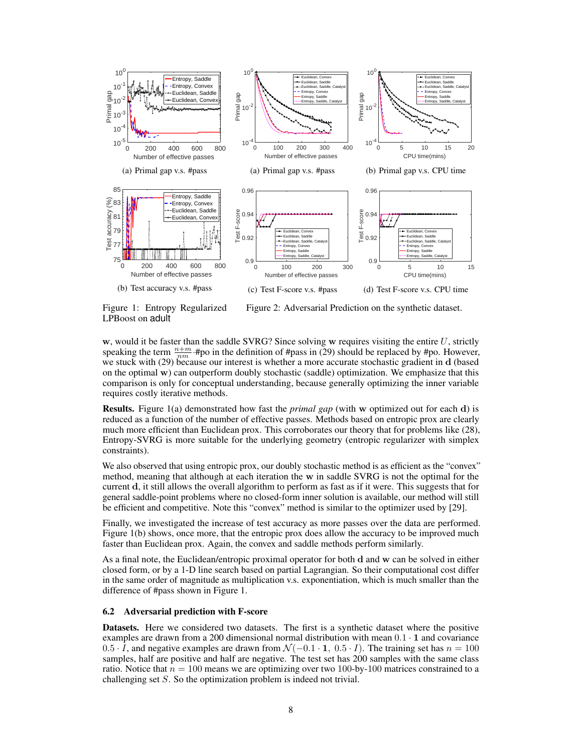

Figure 1: Entropy Regularized

Figure 2: Adversarial Prediction on the synthetic dataset.

LPBoost on adult

w, would it be faster than the saddle SVRG? Since solving w requires visiting the entire  $U$ , strictly speaking the term  $\frac{n+m}{nm}$  #po in the definition of #pass in (29) should be replaced by #po. However, we stuck with (29) because our interest is whether a more accurate stochastic gradient in d (based on the optimal  $\bf{w}$ ) can outperform doubly stochastic (saddle) optimization. We emphasize that this comparison is only for conceptual understanding, because generally optimizing the inner variable requires costly iterative methods.

Results. Figure 1(a) demonstrated how fast the *primal gap* (with w optimized out for each d) is reduced as a function of the number of effective passes. Methods based on entropic prox are clearly much more efficient than Euclidean prox. This corroborates our theory that for problems like (28), Entropy-SVRG is more suitable for the underlying geometry (entropic regularizer with simplex constraints).

We also observed that using entropic prox, our doubly stochastic method is as efficient as the "convex" method, meaning that although at each iteration the w in saddle SVRG is not the optimal for the current d, it still allows the overall algorithm to perform as fast as if it were. This suggests that for general saddle-point problems where no closed-form inner solution is available, our method will still be efficient and competitive. Note this "convex" method is similar to the optimizer used by [29].

Finally, we investigated the increase of test accuracy as more passes over the data are performed. Figure 1(b) shows, once more, that the entropic prox does allow the accuracy to be improved much faster than Euclidean prox. Again, the convex and saddle methods perform similarly.

As a final note, the Euclidean/entropic proximal operator for both d and w can be solved in either closed form, or by a 1-D line search based on partial Lagrangian. So their computational cost differ in the same order of magnitude as multiplication v.s. exponentiation, which is much smaller than the difference of #pass shown in Figure 1.

#### 6.2 Adversarial prediction with F-score

Datasets. Here we considered two datasets. The first is a synthetic dataset where the positive examples are drawn from a 200 dimensional normal distribution with mean  $0.1 \cdot 1$  and covariance  $0.5 \cdot \overline{I}$ , and negative examples are drawn from  $\mathcal{N}(-0.1 \cdot 1, 0.5 \cdot I)$ . The training set has  $n = 100$ samples, half are positive and half are negative. The test set has 200 samples with the same class ratio. Notice that  $n = 100$  means we are optimizing over two 100-by-100 matrices constrained to a challenging set S. So the optimization problem is indeed not trivial.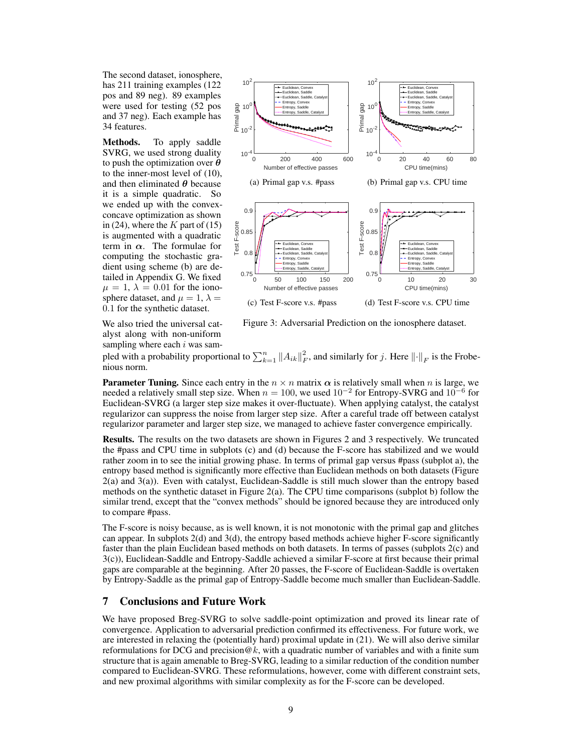The second dataset, ionosphere, has 211 training examples (122 pos and 89 neg). 89 examples were used for testing (52 pos and 37 neg). Each example has 34 features.

Methods. To apply saddle SVRG, we used strong duality to push the optimization over  $\theta$ to the inner-most level of (10), and then eliminated  $\theta$  because it is a simple quadratic. So we ended up with the convexconcave optimization as shown in (24), where the  $K$  part of (15) is augmented with a quadratic term in  $\alpha$ . The formulae for computing the stochastic gradient using scheme (b) are detailed in Appendix G. We fixed  $\mu = 1, \lambda = 0.01$  for the ionosphere dataset, and  $\mu = 1$ ,  $\lambda =$ 0.1 for the synthetic dataset.



(c) Test F-score v.s. #pass (d) Test F-score v.s. CPU time

We also tried the universal catalyst along with non-uniform sampling where each  $i$  was sam-

Figure 3: Adversarial Prediction on the ionosphere dataset.

pled with a probability proportional to  $\sum_{k=1}^{n} ||A_{ik}||_F^2$ , and similarly for j. Here  $||\cdot||_F$  is the Frobenious norm.

**Parameter Tuning.** Since each entry in the  $n \times n$  matrix  $\alpha$  is relatively small when n is large, we needed a relatively small step size. When  $n = 100$ , we used  $10^{-2}$  for Entropy-SVRG and  $10^{-6}$  for Euclidean-SVRG (a larger step size makes it over-fluctuate). When applying catalyst, the catalyst regularizor can suppress the noise from larger step size. After a careful trade off between catalyst regularizor parameter and larger step size, we managed to achieve faster convergence empirically.

Results. The results on the two datasets are shown in Figures 2 and 3 respectively. We truncated the #pass and CPU time in subplots (c) and (d) because the F-score has stabilized and we would rather zoom in to see the initial growing phase. In terms of primal gap versus #pass (subplot a), the entropy based method is significantly more effective than Euclidean methods on both datasets (Figure 2(a) and 3(a)). Even with catalyst, Euclidean-Saddle is still much slower than the entropy based methods on the synthetic dataset in Figure 2(a). The CPU time comparisons (subplot b) follow the similar trend, except that the "convex methods" should be ignored because they are introduced only to compare #pass.

The F-score is noisy because, as is well known, it is not monotonic with the primal gap and glitches can appear. In subplots 2(d) and 3(d), the entropy based methods achieve higher F-score significantly faster than the plain Euclidean based methods on both datasets. In terms of passes (subplots 2(c) and 3(c)), Euclidean-Saddle and Entropy-Saddle achieved a similar F-score at first because their primal gaps are comparable at the beginning. After 20 passes, the F-score of Euclidean-Saddle is overtaken by Entropy-Saddle as the primal gap of Entropy-Saddle become much smaller than Euclidean-Saddle.

# 7 Conclusions and Future Work

We have proposed Breg-SVRG to solve saddle-point optimization and proved its linear rate of convergence. Application to adversarial prediction confirmed its effectiveness. For future work, we are interested in relaxing the (potentially hard) proximal update in (21). We will also derive similar reformulations for DCG and precision  $@k$ , with a quadratic number of variables and with a finite sum structure that is again amenable to Breg-SVRG, leading to a similar reduction of the condition number compared to Euclidean-SVRG. These reformulations, however, come with different constraint sets, and new proximal algorithms with similar complexity as for the F-score can be developed.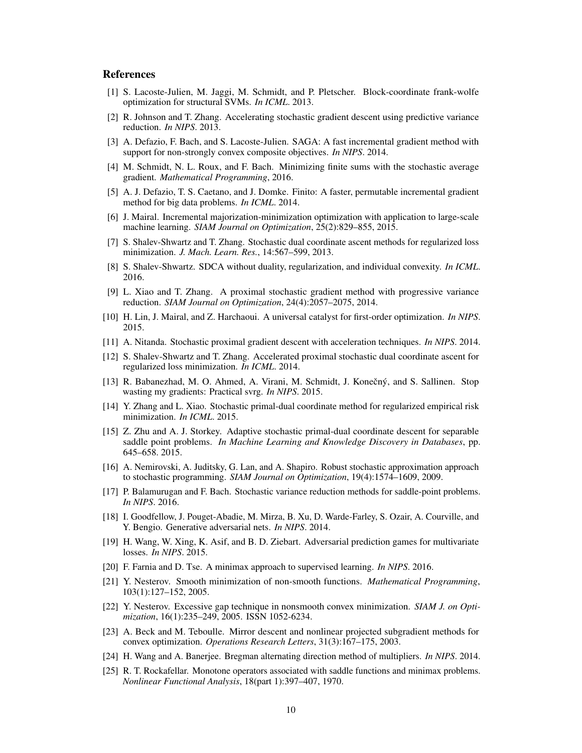# References

- [1] S. Lacoste-Julien, M. Jaggi, M. Schmidt, and P. Pletscher. Block-coordinate frank-wolfe optimization for structural SVMs. *In ICML*. 2013.
- [2] R. Johnson and T. Zhang. Accelerating stochastic gradient descent using predictive variance reduction. *In NIPS*. 2013.
- [3] A. Defazio, F. Bach, and S. Lacoste-Julien. SAGA: A fast incremental gradient method with support for non-strongly convex composite objectives. *In NIPS*. 2014.
- [4] M. Schmidt, N. L. Roux, and F. Bach. Minimizing finite sums with the stochastic average gradient. *Mathematical Programming*, 2016.
- [5] A. J. Defazio, T. S. Caetano, and J. Domke. Finito: A faster, permutable incremental gradient method for big data problems. *In ICML*. 2014.
- [6] J. Mairal. Incremental majorization-minimization optimization with application to large-scale machine learning. *SIAM Journal on Optimization*, 25(2):829–855, 2015.
- [7] S. Shalev-Shwartz and T. Zhang. Stochastic dual coordinate ascent methods for regularized loss minimization. *J. Mach. Learn. Res.*, 14:567–599, 2013.
- [8] S. Shalev-Shwartz. SDCA without duality, regularization, and individual convexity. *In ICML*. 2016.
- [9] L. Xiao and T. Zhang. A proximal stochastic gradient method with progressive variance reduction. *SIAM Journal on Optimization*, 24(4):2057–2075, 2014.
- [10] H. Lin, J. Mairal, and Z. Harchaoui. A universal catalyst for first-order optimization. *In NIPS*. 2015.
- [11] A. Nitanda. Stochastic proximal gradient descent with acceleration techniques. *In NIPS*. 2014.
- [12] S. Shalev-Shwartz and T. Zhang. Accelerated proximal stochastic dual coordinate ascent for regularized loss minimization. *In ICML*. 2014.
- [13] R. Babanezhad, M. O. Ahmed, A. Virani, M. Schmidt, J. Konečný, and S. Sallinen. Stop wasting my gradients: Practical svrg. *In NIPS*. 2015.
- [14] Y. Zhang and L. Xiao. Stochastic primal-dual coordinate method for regularized empirical risk minimization. *In ICML*. 2015.
- [15] Z. Zhu and A. J. Storkey. Adaptive stochastic primal-dual coordinate descent for separable saddle point problems. *In Machine Learning and Knowledge Discovery in Databases*, pp. 645–658. 2015.
- [16] A. Nemirovski, A. Juditsky, G. Lan, and A. Shapiro. Robust stochastic approximation approach to stochastic programming. *SIAM Journal on Optimization*, 19(4):1574–1609, 2009.
- [17] P. Balamurugan and F. Bach. Stochastic variance reduction methods for saddle-point problems. *In NIPS*. 2016.
- [18] I. Goodfellow, J. Pouget-Abadie, M. Mirza, B. Xu, D. Warde-Farley, S. Ozair, A. Courville, and Y. Bengio. Generative adversarial nets. *In NIPS*. 2014.
- [19] H. Wang, W. Xing, K. Asif, and B. D. Ziebart. Adversarial prediction games for multivariate losses. *In NIPS*. 2015.
- [20] F. Farnia and D. Tse. A minimax approach to supervised learning. *In NIPS*. 2016.
- [21] Y. Nesterov. Smooth minimization of non-smooth functions. *Mathematical Programming*, 103(1):127–152, 2005.
- [22] Y. Nesterov. Excessive gap technique in nonsmooth convex minimization. *SIAM J. on Optimization*, 16(1):235–249, 2005. ISSN 1052-6234.
- [23] A. Beck and M. Teboulle. Mirror descent and nonlinear projected subgradient methods for convex optimization. *Operations Research Letters*, 31(3):167–175, 2003.
- [24] H. Wang and A. Banerjee. Bregman alternating direction method of multipliers. *In NIPS*. 2014.
- [25] R. T. Rockafellar. Monotone operators associated with saddle functions and minimax problems. *Nonlinear Functional Analysis*, 18(part 1):397–407, 1970.